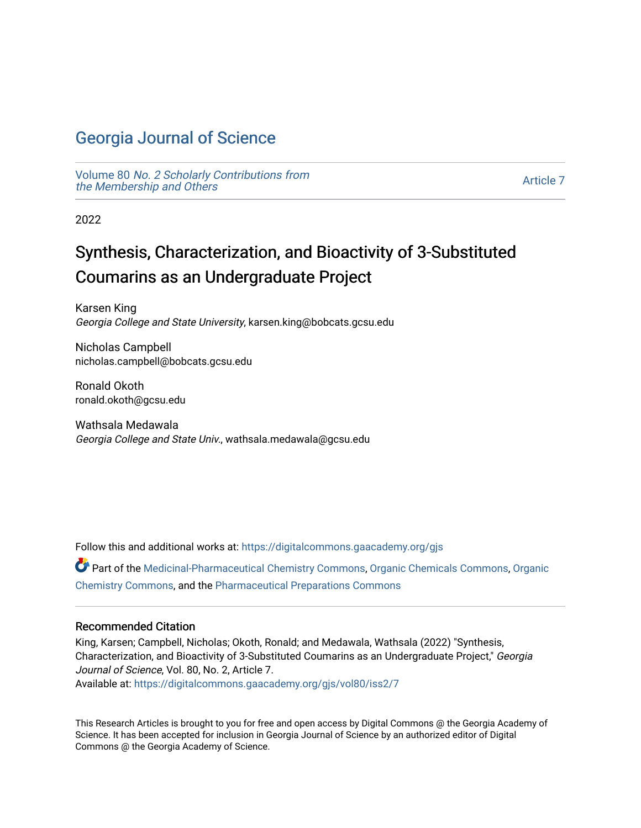## [Georgia Journal of Science](https://digitalcommons.gaacademy.org/gjs)

Volume 80 [No. 2 Scholarly Contributions from](https://digitalcommons.gaacademy.org/gjs/vol80) [the Membership and Others](https://digitalcommons.gaacademy.org/gjs/vol80) 

[Article 7](https://digitalcommons.gaacademy.org/gjs/vol80/iss2/7) 

2022

# Synthesis, Characterization, and Bioactivity of 3-Substituted Coumarins as an Undergraduate Project

Karsen King Georgia College and State University, karsen.king@bobcats.gcsu.edu

Nicholas Campbell nicholas.campbell@bobcats.gcsu.edu

Ronald Okoth ronald.okoth@gcsu.edu

Wathsala Medawala Georgia College and State Univ., wathsala.medawala@gcsu.edu

Follow this and additional works at: [https://digitalcommons.gaacademy.org/gjs](https://digitalcommons.gaacademy.org/gjs?utm_source=digitalcommons.gaacademy.org%2Fgjs%2Fvol80%2Fiss2%2F7&utm_medium=PDF&utm_campaign=PDFCoverPages) 

Part of the [Medicinal-Pharmaceutical Chemistry Commons](https://network.bepress.com/hgg/discipline/136?utm_source=digitalcommons.gaacademy.org%2Fgjs%2Fvol80%2Fiss2%2F7&utm_medium=PDF&utm_campaign=PDFCoverPages), [Organic Chemicals Commons,](https://network.bepress.com/hgg/discipline/955?utm_source=digitalcommons.gaacademy.org%2Fgjs%2Fvol80%2Fiss2%2F7&utm_medium=PDF&utm_campaign=PDFCoverPages) [Organic](https://network.bepress.com/hgg/discipline/138?utm_source=digitalcommons.gaacademy.org%2Fgjs%2Fvol80%2Fiss2%2F7&utm_medium=PDF&utm_campaign=PDFCoverPages)  [Chemistry Commons,](https://network.bepress.com/hgg/discipline/138?utm_source=digitalcommons.gaacademy.org%2Fgjs%2Fvol80%2Fiss2%2F7&utm_medium=PDF&utm_campaign=PDFCoverPages) and the [Pharmaceutical Preparations Commons](https://network.bepress.com/hgg/discipline/936?utm_source=digitalcommons.gaacademy.org%2Fgjs%2Fvol80%2Fiss2%2F7&utm_medium=PDF&utm_campaign=PDFCoverPages)

#### Recommended Citation

King, Karsen; Campbell, Nicholas; Okoth, Ronald; and Medawala, Wathsala (2022) "Synthesis, Characterization, and Bioactivity of 3-Substituted Coumarins as an Undergraduate Project," Georgia Journal of Science, Vol. 80, No. 2, Article 7. Available at: [https://digitalcommons.gaacademy.org/gjs/vol80/iss2/7](https://digitalcommons.gaacademy.org/gjs/vol80/iss2/7?utm_source=digitalcommons.gaacademy.org%2Fgjs%2Fvol80%2Fiss2%2F7&utm_medium=PDF&utm_campaign=PDFCoverPages)

This Research Articles is brought to you for free and open access by Digital Commons @ the Georgia Academy of Science. It has been accepted for inclusion in Georgia Journal of Science by an authorized editor of Digital Commons @ the Georgia Academy of Science.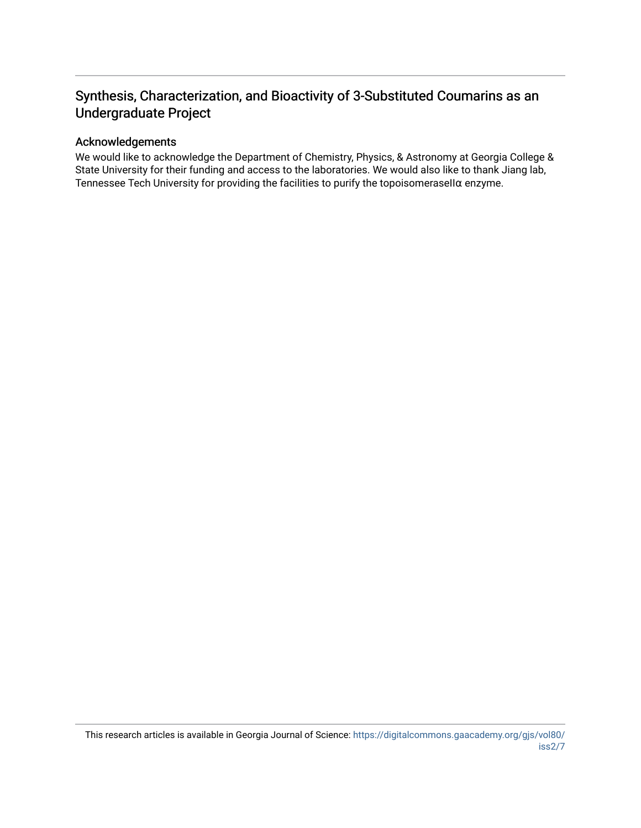## Synthesis, Characterization, and Bioactivity of 3-Substituted Coumarins as an Undergraduate Project

#### Acknowledgements

We would like to acknowledge the Department of Chemistry, Physics, & Astronomy at Georgia College & State University for their funding and access to the laboratories. We would also like to thank Jiang lab, Tennessee Tech University for providing the facilities to purify the topoisomeraseIIα enzyme.

This research articles is available in Georgia Journal of Science: [https://digitalcommons.gaacademy.org/gjs/vol80/](https://digitalcommons.gaacademy.org/gjs/vol80/iss2/7) [iss2/7](https://digitalcommons.gaacademy.org/gjs/vol80/iss2/7)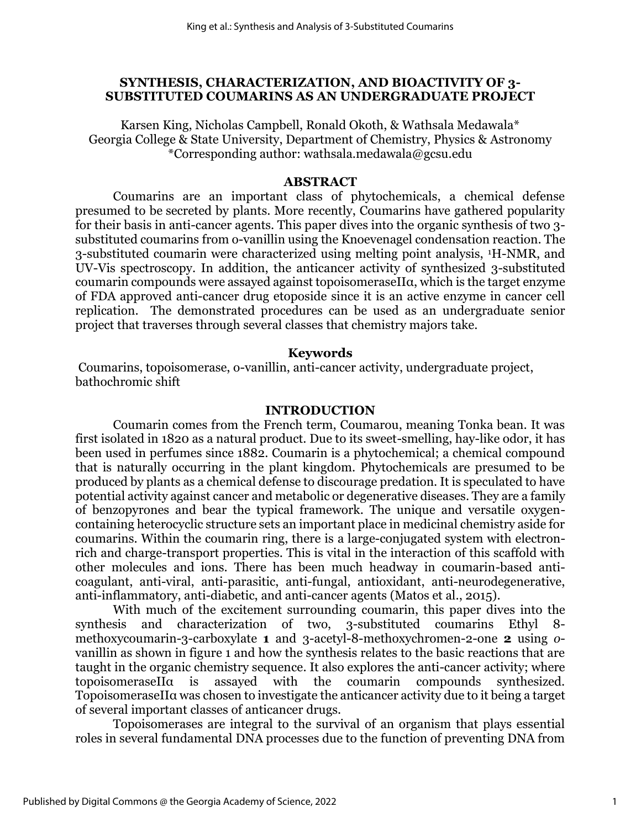#### **SYNTHESIS, CHARACTERIZATION, AND BIOACTIVITY OF 3- SUBSTITUTED COUMARINS AS AN UNDERGRADUATE PROJECT**

Karsen King, Nicholas Campbell, Ronald Okoth, & Wathsala Medawala\* Georgia College & State University, Department of Chemistry, Physics & Astronomy \*Corresponding author: wathsala.medawala@gcsu.edu

#### **ABSTRACT**

 Coumarins are an important class of phytochemicals, a chemical defense presumed to be secreted by plants. More recently, Coumarins have gathered popularity for their basis in anti-cancer agents. This paper dives into the organic synthesis of two 3 substituted coumarins from o-vanillin using the Knoevenagel condensation reaction. The 3-substituted coumarin were characterized using melting point analysis, 1H-NMR, and UV-Vis spectroscopy. In addition, the anticancer activity of synthesized 3-substituted coumarin compounds were assayed against topoisomeraseIIα, which is the target enzyme of FDA approved anti-cancer drug etoposide since it is an active enzyme in cancer cell replication. The demonstrated procedures can be used as an undergraduate senior project that traverses through several classes that chemistry majors take.

#### **Keywords**

Coumarins, topoisomerase, o-vanillin, anti-cancer activity, undergraduate project, bathochromic shift

#### **INTRODUCTION**

Coumarin comes from the French term, Coumarou, meaning Tonka bean. It was first isolated in 1820 as a natural product. Due to its sweet-smelling, hay-like odor, it has been used in perfumes since 1882. Coumarin is a phytochemical; a chemical compound that is naturally occurring in the plant kingdom. Phytochemicals are presumed to be produced by plants as a chemical defense to discourage predation. It is speculated to have potential activity against cancer and metabolic or degenerative diseases. They are a family of benzopyrones and bear the typical framework. The unique and versatile oxygencontaining heterocyclic structure sets an important place in medicinal chemistry aside for coumarins. Within the coumarin ring, there is a large-conjugated system with electronrich and charge-transport properties. This is vital in the interaction of this scaffold with other molecules and ions. There has been much headway in coumarin-based anticoagulant, anti-viral, anti-parasitic, anti-fungal, antioxidant, anti-neurodegenerative, anti-inflammatory, anti-diabetic, and anti-cancer agents (Matos et al., 2015).

With much of the excitement surrounding coumarin, this paper dives into the synthesis and characterization of two, 3-substituted coumarins Ethyl 8 methoxycoumarin-3-carboxylate **1** and 3-acetyl-8-methoxychromen-2-one **2** using *o*vanillin as shown in figure 1 and how the synthesis relates to the basic reactions that are taught in the organic chemistry sequence. It also explores the anti-cancer activity; where topoisomeraseIIα is assayed with the coumarin compounds synthesized. TopoisomeraseIIα was chosen to investigate the anticancer activity due to it being a target of several important classes of anticancer drugs.

Topoisomerases are integral to the survival of an organism that plays essential roles in several fundamental DNA processes due to the function of preventing DNA from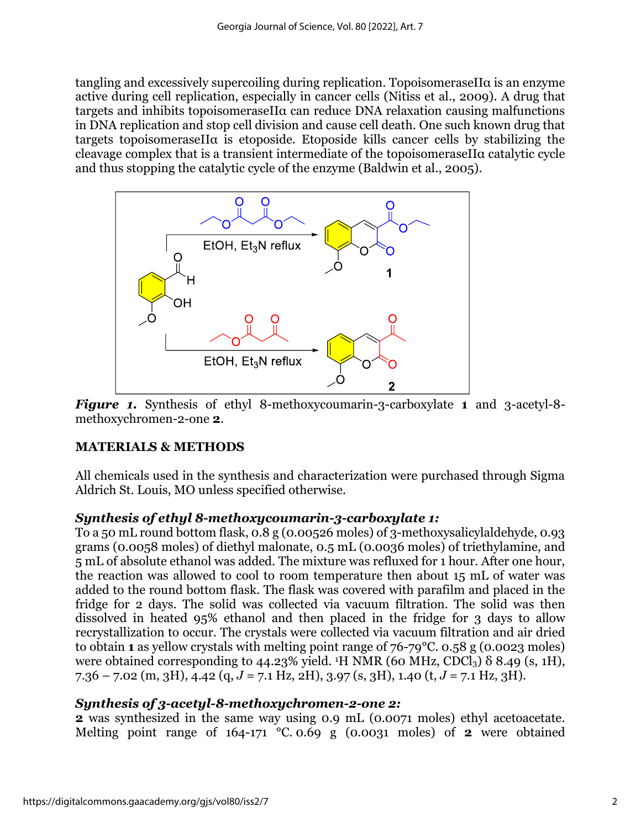tangling and excessively supercoiling during replication. TopoisomeraseIIα is an enzyme active during cell replication, especially in cancer cells (Nitiss et al., 2009). A drug that targets and inhibits topoisomeraseIIα can reduce DNA relaxation causing malfunctions in DNA replication and stop cell division and cause cell death. One such known drug that targets topoisomeraseIIα is etoposide. Etoposide kills cancer cells by stabilizing the cleavage complex that is a transient intermediate of the topoisomeraseIIα catalytic cycle and thus stopping the catalytic cycle of the enzyme (Baldwin et al., 2005).



*Figure 1.* Synthesis of ethyl 8-methoxycoumarin-3-carboxylate **1** and 3-acetyl-8 methoxychromen-2-one **2**.

## **MATERIALS & METHODS**

All chemicals used in the synthesis and characterization were purchased through Sigma Aldrich St. Louis, MO unless specified otherwise.

## *Synthesis of ethyl 8-methoxycoumarin-3-carboxylate 1:*

To a 50 mL round bottom flask, 0.8 g (0.00526 moles) of 3-methoxysalicylaldehyde, 0.93 grams (0.0058 moles) of diethyl malonate, 0.5 mL (0.0036 moles) of triethylamine, and 5 mL of absolute ethanol was added. The mixture was refluxed for 1 hour. After one hour, the reaction was allowed to cool to room temperature then about 15 mL of water was added to the round bottom flask. The flask was covered with parafilm and placed in the fridge for 2 days. The solid was collected via vacuum filtration. The solid was then dissolved in heated 95% ethanol and then placed in the fridge for 3 days to allow recrystallization to occur. The crystals were collected via vacuum filtration and air dried to obtain **1** as yellow crystals with melting point range of 76-79°C. 0.58 g (0.0023 moles) were obtained corresponding to 44.23% yield. <sup>1</sup>H NMR (60 MHz, CDCl<sub>3</sub>)  $\delta$  8.49 (s, 1H), 7.36 – 7.02 (m, 3H), 4.42 (q, *J* = 7.1 Hz, 2H), 3.97 (s, 3H), 1.40 (t, *J* = 7.1 Hz, 3H).

### *Synthesis of 3-acetyl-8-methoxychromen-2-one 2:*

**[2](https://www.sigmaaldrich.com/catalog/product/aldrich/idf00034?cm_sp=Insite-_-caSrpResults_srpRecs_srpModel_mfcd00807051-_-srpRecs3-1)** was synthesized in the same way using 0.9 mL (0.0071 moles) ethyl acetoacetate. Melting point range of 164-171 °C. 0.69 g (0.0031 moles) of **2** were obtained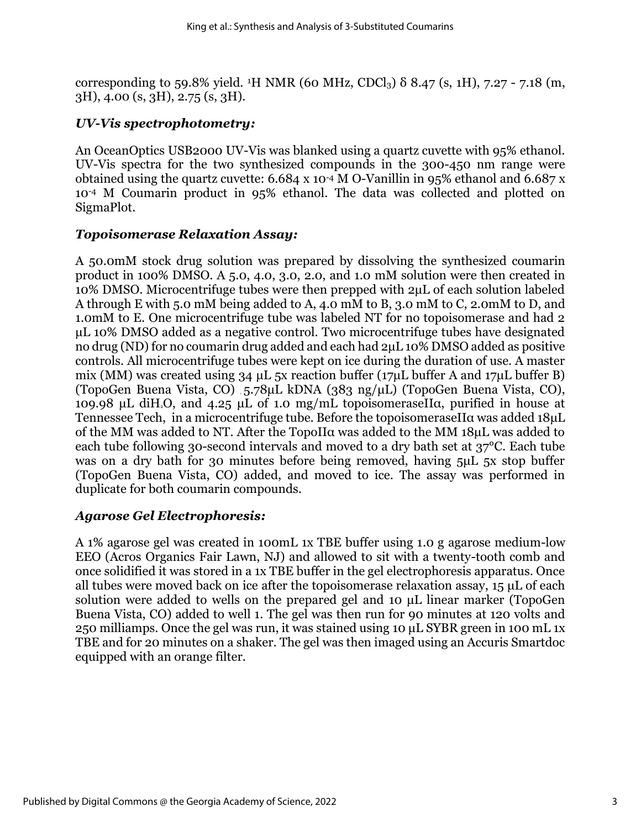corresponding to 59.8% yield. <sup>1</sup>H NMR (60 MHz, CDCl<sub>3</sub>)  $\delta$  8.47 (s, 1H), 7.27 - 7.18 (m, 3H), 4.00 (s, 3H), 2.75 (s, 3H).

## *UV-Vis spectrophotometry:*

An OceanOptics USB2000 UV-Vis was blanked using a quartz cuvette with 95% ethanol. UV-Vis spectra for the two synthesized compounds in the 300-450 nm range were obtained using the quartz cuvette:  $6.684 \times 10^{-4}$  M O-Vanillin in 95% ethanol and  $6.687 \times$ 10-4 M Coumarin product in 95% ethanol. The data was collected and plotted on SigmaPlot.

## *Topoisomerase Relaxation Assay:*

A 50.0mM stock drug solution was prepared by dissolving the synthesized coumarin product in 100% DMSO. A 5.0, 4.0, 3.0, 2.0, and 1.0 mM solution were then created in 10% DMSO. Microcentrifuge tubes were then prepped with 2μL of each solution labeled A through E with 5.0 mM being added to A, 4.0 mM to B, 3.0 mM to C, 2.0mM to D, and 1.0mM to E. One microcentrifuge tube was labeled NT for no topoisomerase and had 2 μL 10% DMSO added as a negative control. Two microcentrifuge tubes have designated no drug (ND) for no coumarin drug added and each had 2μL 10% DMSO added as positive controls. All microcentrifuge tubes were kept on ice during the duration of use. A master mix (MM) was created using 34 μL 5x reaction buffer (17μL buffer A and 17μL buffer B) (TopoGen Buena Vista, CO) , 5.78μL kDNA (383 ng/μL) (TopoGen Buena Vista, CO), 109.98 μL diH2O, and 4.25 μL of 1.0 mg/mL topoisomeraseIIα, purified in house at Tennessee Tech, in a microcentrifuge tube. Before the topoisomeraseIIα was added 18μL of the MM was added to NT. After the TopoIIα was added to the MM 18μL was added to each tube following 30-second intervals and moved to a dry bath set at 37°C. Each tube was on a dry bath for 30 minutes before being removed, having 5μL 5x stop buffer (TopoGen Buena Vista, CO) added, and moved to ice. The assay was performed in duplicate for both coumarin compounds.

## *Agarose Gel Electrophoresis:*

A 1% agarose gel was created in 100mL 1x TBE buffer using 1.0 g agarose medium-low EEO (Acros Organics Fair Lawn, NJ) and allowed to sit with a twenty-tooth comb and once solidified it was stored in a 1x TBE buffer in the gel electrophoresis apparatus. Once all tubes were moved back on ice after the topoisomerase relaxation assay, 15 μL of each solution were added to wells on the prepared gel and 10 μL linear marker (TopoGen Buena Vista, CO) added to well 1. The gel was then run for 90 minutes at 120 volts and 250 milliamps. Once the gel was run, it was stained using 10 μL SYBR green in 100 mL 1x TBE and for 20 minutes on a shaker. The gel was then imaged using an Accuris Smartdoc equipped with an orange filter.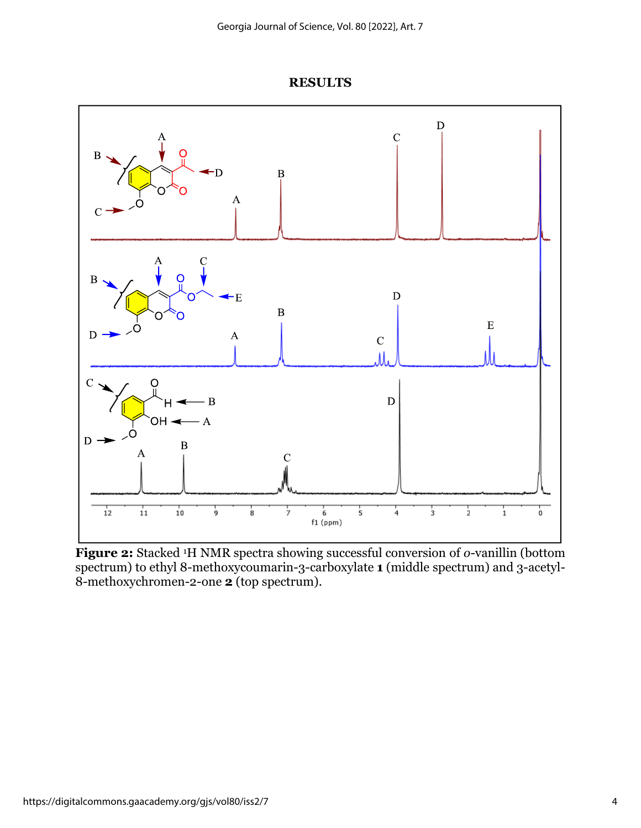

**RESULTS**

**Figure 2:** Stacked <sup>1</sup>H NMR spectra showing successful conversion of *o*-vanillin (bottom spectrum) to ethyl 8-methoxycoumarin-3-carboxylate **1** (middle spectrum) and 3-acetyl-8-methoxychromen-2-one **2** (top spectrum).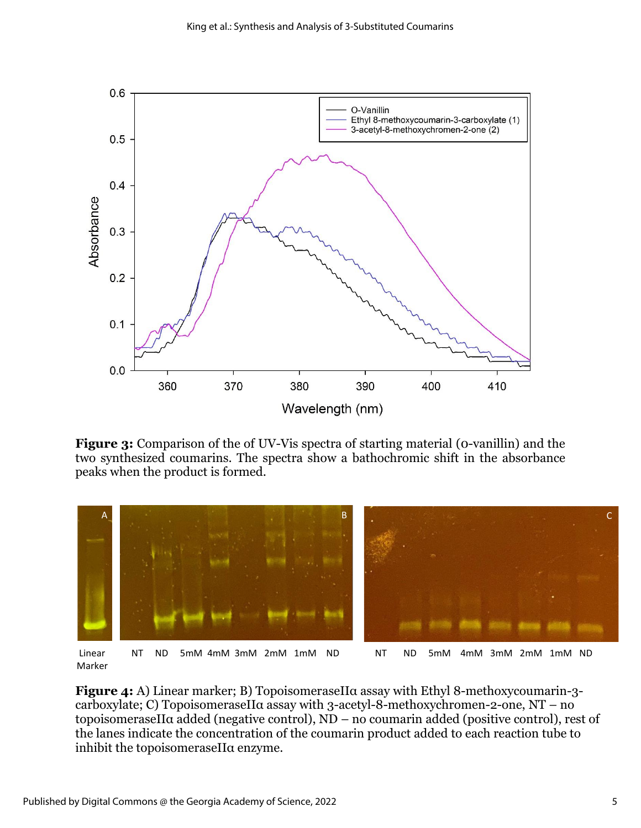

**Figure 3:** Comparison of the of UV-Vis spectra of starting material (0-vanillin) and the two synthesized coumarins. The spectra show a bathochromic shift in the absorbance peaks when the product is formed.



Linear MT ND 5mM 4mM 3mM 2mM 1mM ND NT ND 5mM 4mM 3mM 2mM 1mM ND Marker

**Figure 4:** A) Linear marker; B) TopoisomeraseIIα assay with Ethyl 8-methoxycoumarin-3 carboxylate; C) TopoisomeraseIIα assay with 3-acetyl-8-methoxychromen-2-one, NT – no topoisomeraseIIα added (negative control), ND – no coumarin added (positive control), rest of the lanes indicate the concentration of the coumarin product added to each reaction tube to inhibit the topoisomeraseIIα enzyme.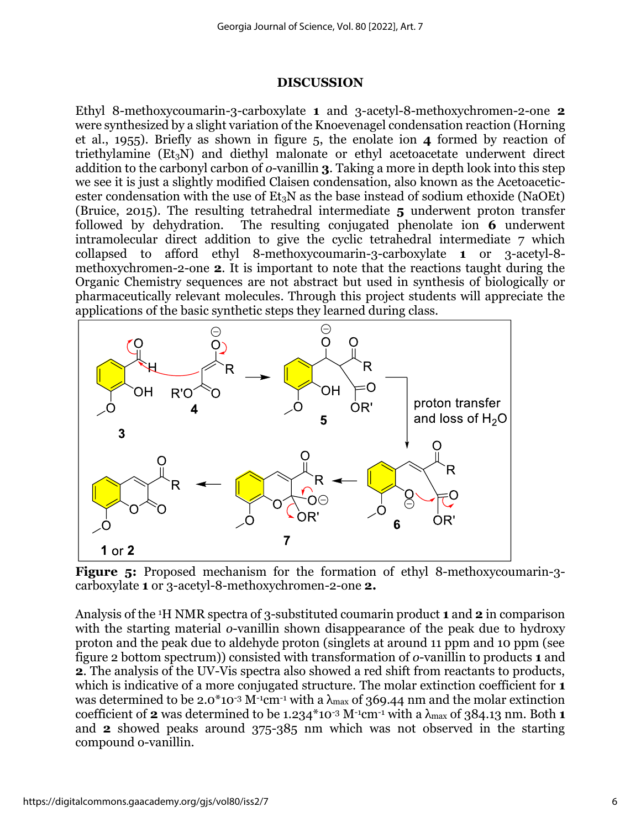#### **DISCUSSION**

Ethyl 8-methoxycoumarin-3-carboxylate **1** and 3-acetyl-8-methoxychromen-2-one **2** were synthesized by a slight variation of the Knoevenagel condensation reaction (Horning et al., 1955). Briefly as shown in figure 5, the enolate ion **4** formed by reaction of triethylamine  $(Et<sub>3</sub>N)$  and diethyl malonate or ethyl acetoacetate underwent direct addition to the carbonyl carbon of *o*-vanillin **3**. Taking a more in depth look into this step we see it is just a slightly modified Claisen condensation, also known as the Acetoaceticester condensation with the use of  $Et_3N$  as the base instead of sodium ethoxide (NaOEt) (Bruice, 2015). The resulting tetrahedral intermediate **5** underwent proton transfer followed by dehydration. The resulting conjugated phenolate ion **6** underwent intramolecular direct addition to give the cyclic tetrahedral intermediate 7 which collapsed to afford ethyl 8-methoxycoumarin-3-carboxylate **1** or 3-acetyl-8 methoxychromen-2-one **2**. It is important to note that the reactions taught during the Organic Chemistry sequences are not abstract but used in synthesis of biologically or pharmaceutically relevant molecules. Through this project students will appreciate the applications of the basic synthetic steps they learned during class.



**Figure 5:** Proposed mechanism for the formation of ethyl 8-methoxycoumarin-3 carboxylate **1** or 3-acetyl-8-methoxychromen-2-one **2.**

Analysis of the 1H NMR spectra of 3-substituted coumarin product **1** and **2** in comparison with the starting material *o*-vanillin shown disappearance of the peak due to hydroxy proton and the peak due to aldehyde proton (singlets at around 11 ppm and 10 ppm (see figure 2 bottom spectrum)) consisted with transformation of *o*-vanillin to products **1** and **2**. The analysis of the UV-Vis spectra also showed a red shift from reactants to products, which is indicative of a more conjugated structure. The molar extinction coefficient for **1** was determined to be 2.0\*10<sup>-3</sup> M<sup>-1</sup>cm<sup>-1</sup> with a  $\lambda$ <sub>max</sub> of 369.44 nm and the molar extinction coefficient of **2** was determined to be 1.234\*10<sup>-3</sup> M<sup>-1</sup>cm<sup>-1</sup> with a  $\lambda_{\text{max}}$  of 384.13 nm. Both **1** and **2** showed peaks around 375-385 nm which was not observed in the starting compound o-vanillin.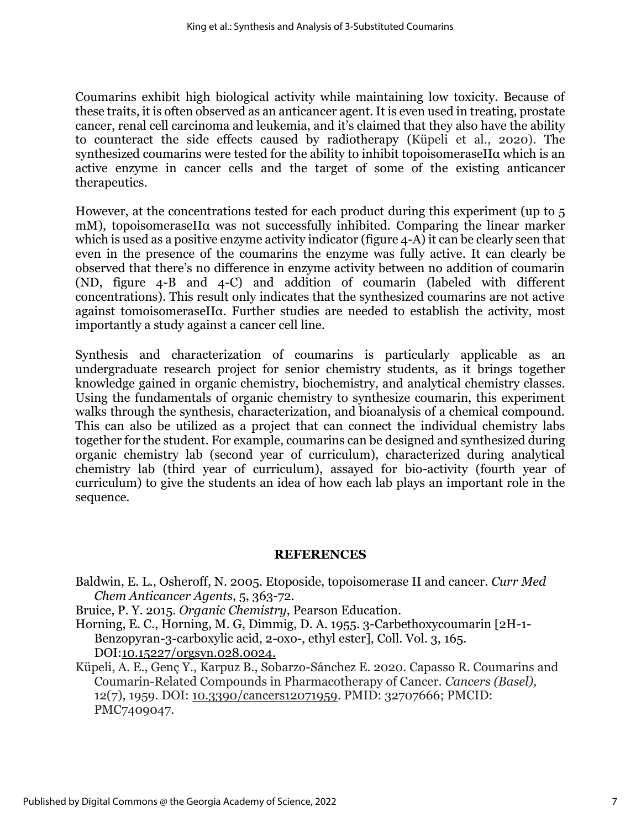Coumarins exhibit high biological activity while maintaining low toxicity. Because of these traits, it is often observed as an anticancer agent. It is even used in treating, prostate cancer, renal cell carcinoma and leukemia, and it's claimed that they also have the ability to counteract the side effects caused by radiotherapy (Küpeli et al., 2020). The synthesized coumarins were tested for the ability to inhibit topoisomeraseIIα which is an active enzyme in cancer cells and the target of some of the existing anticancer therapeutics.

However, at the concentrations tested for each product during this experiment (up to 5 mM), topoisomeraseIIa was not successfully inhibited. Comparing the linear marker which is used as a positive enzyme activity indicator (figure 4-A) it can be clearly seen that even in the presence of the coumarins the enzyme was fully active. It can clearly be observed that there's no difference in enzyme activity between no addition of coumarin (ND, figure 4-B and 4-C) and addition of coumarin (labeled with different concentrations). This result only indicates that the synthesized coumarins are not active against tomoisomeraseIIα. Further studies are needed to establish the activity, most importantly a study against a cancer cell line.

Synthesis and characterization of coumarins is particularly applicable as an undergraduate research project for senior chemistry students, as it brings together knowledge gained in organic chemistry, biochemistry, and analytical chemistry classes. Using the fundamentals of organic chemistry to synthesize coumarin, this experiment walks through the synthesis, characterization, and bioanalysis of a chemical compound. This can also be utilized as a project that can connect the individual chemistry labs together for the student. For example, coumarins can be designed and synthesized during organic chemistry lab (second year of curriculum), characterized during analytical chemistry lab (third year of curriculum), assayed for bio-activity (fourth year of curriculum) to give the students an idea of how each lab plays an important role in the sequence.

### **REFERENCES**

Baldwin, E. L., Osheroff, N. 2005. Etoposide, topoisomerase II and cancer. *Curr Med Chem Anticancer Agents*, 5, 363-72.

- Bruice, P. Y. 2015. *Organic Chemistry*, Pearson Education.
- Horning, E. C., Horning, M. G, Dimmig, D. A. 1955. 3-Carbethoxycoumarin [2H-1- Benzopyran-3-carboxylic acid, 2-oxo-, ethyl ester], Coll. Vol. 3, 165. DOI:10.15227/orgsyn.028.0024.
- Küpeli, A. E., Genç Y., Karpuz B., Sobarzo-Sánchez E. 2020. Capasso R. Coumarins and Coumarin-Related Compounds in Pharmacotherapy of Cancer. *Cancers (Basel),* 12(7), 1959. DOI: 10.3390/cancers12071959. PMID: 32707666; PMCID: PMC7409047.